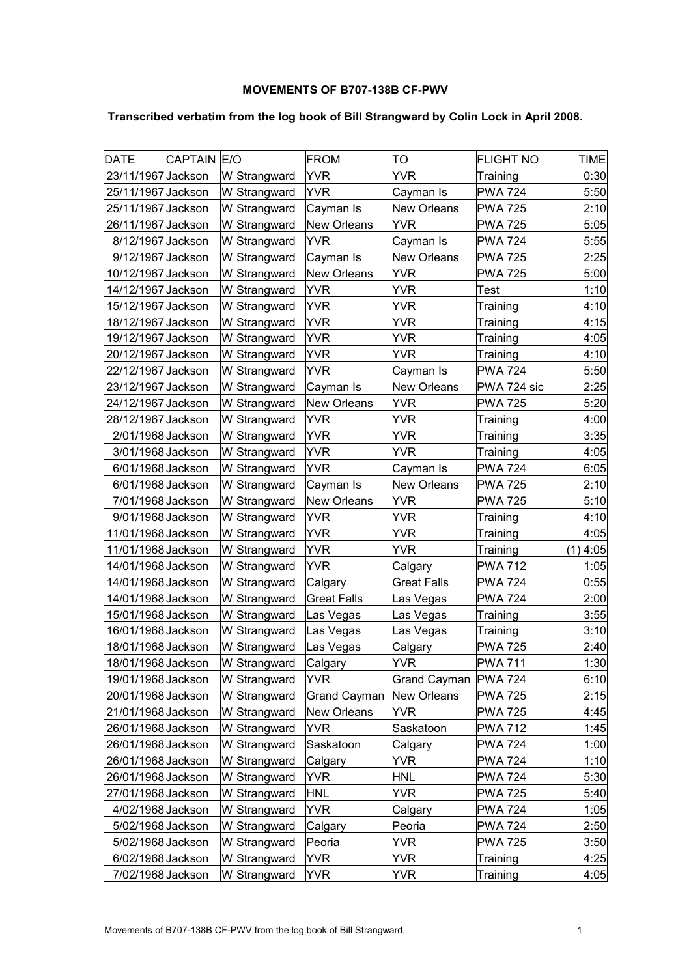## **MOVEMENTS OF B707-138B CF-PWV**

## **Transcribed verbatim from the log book of Bill Strangward by Colin Lock in April 2008.**

| <b>DATE</b>        | <b>CAPTAIN E/O</b> |              | <b>FROM</b>         | TO                  | <b>FLIGHT NO</b> | <b>TIME</b> |
|--------------------|--------------------|--------------|---------------------|---------------------|------------------|-------------|
| 23/11/1967 Jackson |                    | W Strangward | <b>YVR</b>          | YVR                 | Training         | 0:30        |
| 25/11/1967 Jackson |                    | W Strangward | YVR                 | Cayman Is           | <b>PWA 724</b>   | 5:50        |
| 25/11/1967 Jackson |                    | W Strangward | Cayman Is           | <b>New Orleans</b>  | <b>PWA 725</b>   | 2:10        |
| 26/11/1967 Jackson |                    | W Strangward | <b>New Orleans</b>  | YVR                 | <b>PWA 725</b>   | 5:05        |
| 8/12/1967 Jackson  |                    | W Strangward | YVR                 | Cayman Is           | <b>PWA 724</b>   | 5:55        |
| 9/12/1967 Jackson  |                    | W Strangward | Cayman Is           | <b>New Orleans</b>  | <b>PWA 725</b>   | 2:25        |
| 10/12/1967 Jackson |                    | W Strangward | <b>New Orleans</b>  | YVR                 | <b>PWA 725</b>   | 5:00        |
| 14/12/1967 Jackson |                    | W Strangward | YVR                 | YVR                 | <b>Test</b>      | 1:10        |
| 15/12/1967 Jackson |                    | W Strangward | YVR                 | YVR                 | Training         | 4:10        |
| 18/12/1967 Jackson |                    | W Strangward | <b>YVR</b>          | YVR                 | Training         | 4:15        |
| 19/12/1967 Jackson |                    | W Strangward | YVR                 | YVR                 | Training         | 4:05        |
| 20/12/1967 Jackson |                    | W Strangward | YVR                 | YVR                 | Training         | 4:10        |
| 22/12/1967 Jackson |                    | W Strangward | YVR                 | Cayman Is           | <b>PWA 724</b>   | 5:50        |
| 23/12/1967 Jackson |                    | W Strangward | Cayman Is           | <b>New Orleans</b>  | PWA 724 sic      | 2:25        |
| 24/12/1967 Jackson |                    | W Strangward | <b>New Orleans</b>  | YVR                 | <b>PWA 725</b>   | 5:20        |
| 28/12/1967 Jackson |                    | W Strangward | <b>YVR</b>          | YVR                 | Training         | 4:00        |
| 2/01/1968 Jackson  |                    | W Strangward | YVR                 | YVR                 | Training         | 3:35        |
| 3/01/1968 Jackson  |                    | W Strangward | YVR                 | YVR                 | Training         | 4:05        |
| 6/01/1968 Jackson  |                    | W Strangward | YVR                 | Cayman Is           | <b>PWA 724</b>   | 6:05        |
| 6/01/1968 Jackson  |                    | W Strangward | Cayman Is           | <b>New Orleans</b>  | <b>PWA 725</b>   | 2:10        |
| 7/01/1968 Jackson  |                    | W Strangward | <b>New Orleans</b>  | YVR                 | <b>PWA 725</b>   | 5:10        |
| 9/01/1968 Jackson  |                    | W Strangward | <b>YVR</b>          | YVR                 | Training         | 4:10        |
| 11/01/1968 Jackson |                    | W Strangward | YVR                 | YVR                 | Training         | 4:05        |
| 11/01/1968 Jackson |                    | W Strangward | YVR                 | YVR                 | Training         | $(1)$ 4:05  |
| 14/01/1968 Jackson |                    | W Strangward | <b>YVR</b>          | Calgary             | <b>PWA 712</b>   | 1:05        |
| 14/01/1968 Jackson |                    | W Strangward | Calgary             | <b>Great Falls</b>  | <b>PWA 724</b>   | 0:55        |
| 14/01/1968 Jackson |                    | W Strangward | <b>Great Falls</b>  | Las Vegas           | <b>PWA 724</b>   | 2:00        |
| 15/01/1968 Jackson |                    | W Strangward | Las Vegas           | Las Vegas           | Training         | 3:55        |
| 16/01/1968 Jackson |                    | W Strangward | Las Vegas           | Las Vegas           | Training         | 3:10        |
| 18/01/1968 Jackson |                    | W Strangward | Las Vegas           | Calgary             | <b>PWA 725</b>   | 2:40        |
| 18/01/1968 Jackson |                    | W Strangward | Calgary             | <b>YVR</b>          | <b>PWA 711</b>   | 1:30        |
| 19/01/1968 Jackson |                    | W Strangward | YVR                 | <b>Grand Cayman</b> | <b>PWA 724</b>   | 6:10        |
| 20/01/1968 Jackson |                    | W Strangward | <b>Grand Cayman</b> | New Orleans         | <b>PWA 725</b>   | 2:15        |
| 21/01/1968 Jackson |                    | W Strangward | <b>New Orleans</b>  | YVR                 | <b>PWA 725</b>   | 4:45        |
| 26/01/1968 Jackson |                    | W Strangward | YVR                 | Saskatoon           | <b>PWA 712</b>   | 1:45        |
| 26/01/1968 Jackson |                    | W Strangward | Saskatoon           | Calgary             | <b>PWA 724</b>   | 1:00        |
| 26/01/1968 Jackson |                    | W Strangward | Calgary             | <b>YVR</b>          | <b>PWA 724</b>   | 1:10        |
| 26/01/1968 Jackson |                    | W Strangward | YVR                 | <b>HNL</b>          | <b>PWA 724</b>   | 5:30        |
| 27/01/1968 Jackson |                    | W Strangward | <b>HNL</b>          | YVR                 | <b>PWA 725</b>   | 5:40        |
| 4/02/1968 Jackson  |                    | W Strangward | <b>YVR</b>          | Calgary             | <b>PWA 724</b>   | 1:05        |
| 5/02/1968 Jackson  |                    | W Strangward | Calgary             | Peoria              | <b>PWA 724</b>   | 2:50        |
| 5/02/1968 Jackson  |                    | W Strangward | Peoria              | YVR                 | <b>PWA 725</b>   | 3:50        |
| 6/02/1968 Jackson  |                    | W Strangward | YVR                 | YVR                 | Training         | 4:25        |
| 7/02/1968 Jackson  |                    | W Strangward | YVR                 | YVR                 | Training         | 4:05        |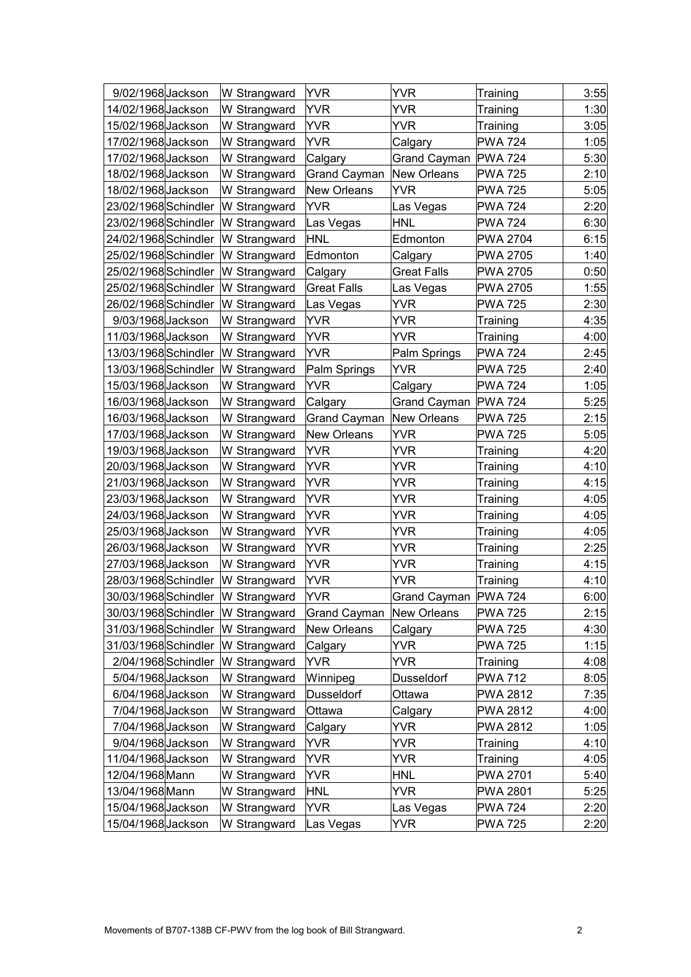| 9/02/1968 Jackson    | W Strangward                      | <b>YVR</b>          | <b>YVR</b>             | Training        | 3:55 |
|----------------------|-----------------------------------|---------------------|------------------------|-----------------|------|
| 14/02/1968 Jackson   | W Strangward                      | YVR                 | <b>YVR</b>             | Training        | 1:30 |
| 15/02/1968 Jackson   | W Strangward                      | <b>YVR</b>          | YVR                    | Training        | 3:05 |
| 17/02/1968 Jackson   | W Strangward                      | YVR                 | Calgary                | <b>PWA 724</b>  | 1:05 |
| 17/02/1968 Jackson   | W Strangward                      | Calgary             | Grand Cayman   PWA 724 |                 | 5:30 |
| 18/02/1968 Jackson   | W Strangward                      | <b>Grand Cayman</b> | <b>New Orleans</b>     | <b>PWA 725</b>  | 2:10 |
| 18/02/1968 Jackson   | W Strangward                      | <b>New Orleans</b>  | YVR                    | <b>PWA 725</b>  | 5:05 |
| 23/02/1968 Schindler | W Strangward                      | <b>YVR</b>          | Las Vegas              | <b>PWA 724</b>  | 2:20 |
| 23/02/1968 Schindler | W Strangward                      | Las Vegas           | <b>HNL</b>             | <b>PWA 724</b>  | 6:30 |
| 24/02/1968 Schindler | W Strangward                      | <b>HNL</b>          | Edmonton               | <b>PWA 2704</b> | 6:15 |
| 25/02/1968 Schindler | W Strangward                      | Edmonton            | Calgary                | <b>PWA 2705</b> | 1:40 |
| 25/02/1968 Schindler | W Strangward                      | Calgary             | Great Falls            | <b>PWA 2705</b> | 0:50 |
| 25/02/1968 Schindler | W Strangward                      | <b>Great Falls</b>  | Las Vegas              | <b>PWA 2705</b> | 1:55 |
| 26/02/1968 Schindler | W Strangward                      | Las Vegas           | YVR                    | <b>PWA 725</b>  | 2:30 |
| 9/03/1968 Jackson    | W Strangward                      | <b>YVR</b>          | YVR                    | Training        | 4:35 |
| 11/03/1968 Jackson   | W Strangward                      | YVR                 | YVR                    | Training        | 4:00 |
| 13/03/1968 Schindler | W Strangward                      | YVR                 | Palm Springs           | <b>PWA 724</b>  | 2:45 |
| 13/03/1968 Schindler | W Strangward                      | Palm Springs        | <b>YVR</b>             | <b>PWA 725</b>  | 2:40 |
| 15/03/1968 Jackson   | W Strangward                      | YVR                 | Calgary                | <b>PWA 724</b>  | 1:05 |
| 16/03/1968 Jackson   | W Strangward                      | Calgary             | Grand Cayman           | <b>PWA 724</b>  | 5:25 |
| 16/03/1968 Jackson   | W Strangward                      | <b>Grand Cayman</b> | <b>New Orleans</b>     | <b>PWA 725</b>  | 2:15 |
| 17/03/1968 Jackson   | W Strangward                      | <b>New Orleans</b>  | YVR                    | <b>PWA 725</b>  | 5:05 |
| 19/03/1968 Jackson   | W Strangward                      | <b>YVR</b>          | YVR                    | Training        | 4:20 |
| 20/03/1968 Jackson   | W Strangward                      | <b>YVR</b>          | YVR                    | Training        | 4:10 |
| 21/03/1968 Jackson   | W Strangward                      | YVR                 | YVR                    | Training        | 4:15 |
| 23/03/1968 Jackson   | W Strangward                      | YVR                 | YVR                    | Training        | 4:05 |
| 24/03/1968 Jackson   | W Strangward                      | <b>YVR</b>          | YVR                    | Training        | 4:05 |
| 25/03/1968 Jackson   | W Strangward                      | YVR                 | YVR                    | Training        | 4:05 |
| 26/03/1968 Jackson   | W Strangward                      | <b>YVR</b>          | YVR                    | Training        | 2:25 |
| 27/03/1968 Jackson   | W Strangward                      | YVR                 | YVR                    | Training        | 4:15 |
| 28/03/1968 Schindler | W Strangward                      | YVR                 | YVR                    | Training        | 4:10 |
| 30/03/1968 Schindler | W Strangward                      | <b>YVR</b>          | Grand Cayman   PWA 724 |                 | 6:00 |
|                      | 30/03/1968 Schindler W Strangward | <b>Grand Cayman</b> | <b>New Orleans</b>     | <b>PWA 725</b>  | 2:15 |
| 31/03/1968 Schindler | W Strangward                      | <b>New Orleans</b>  | Calgary                | <b>PWA 725</b>  | 4:30 |
|                      | 31/03/1968 Schindler W Strangward | Calgary             | YVR.                   | <b>PWA 725</b>  | 1:15 |
| 2/04/1968 Schindler  | W Strangward                      | YVR                 | YVR                    | Training        | 4:08 |
| 5/04/1968 Jackson    | W Strangward                      | Winnipeg            | Dusseldorf             | <b>PWA 712</b>  | 8:05 |
| 6/04/1968 Jackson    | W Strangward                      | Dusseldorf          | Ottawa                 | PWA 2812        | 7:35 |
| 7/04/1968 Jackson    | W Strangward                      | Ottawa              | Calgary                | PWA 2812        | 4:00 |
| 7/04/1968 Jackson    | W Strangward                      | Calgary             | YVR                    | PWA 2812        | 1:05 |
| 9/04/1968 Jackson    | W Strangward                      | YVR                 | YVR                    | Training        | 4:10 |
| 11/04/1968 Jackson   | W Strangward                      | YVR                 | YVR                    | Training        | 4:05 |
| 12/04/1968 Mann      | W Strangward                      | YVR                 | <b>HNL</b>             | PWA 2701        | 5:40 |
| 13/04/1968 Mann      | W Strangward                      | <b>HNL</b>          | YVR                    | <b>PWA 2801</b> | 5:25 |
| 15/04/1968 Jackson   | W Strangward                      | YVR                 | Las Vegas              | <b>PWA 724</b>  | 2:20 |
| 15/04/1968 Jackson   | W Strangward                      | Las Vegas           | <b>YVR</b>             | <b>PWA 725</b>  | 2:20 |
|                      |                                   |                     |                        |                 |      |